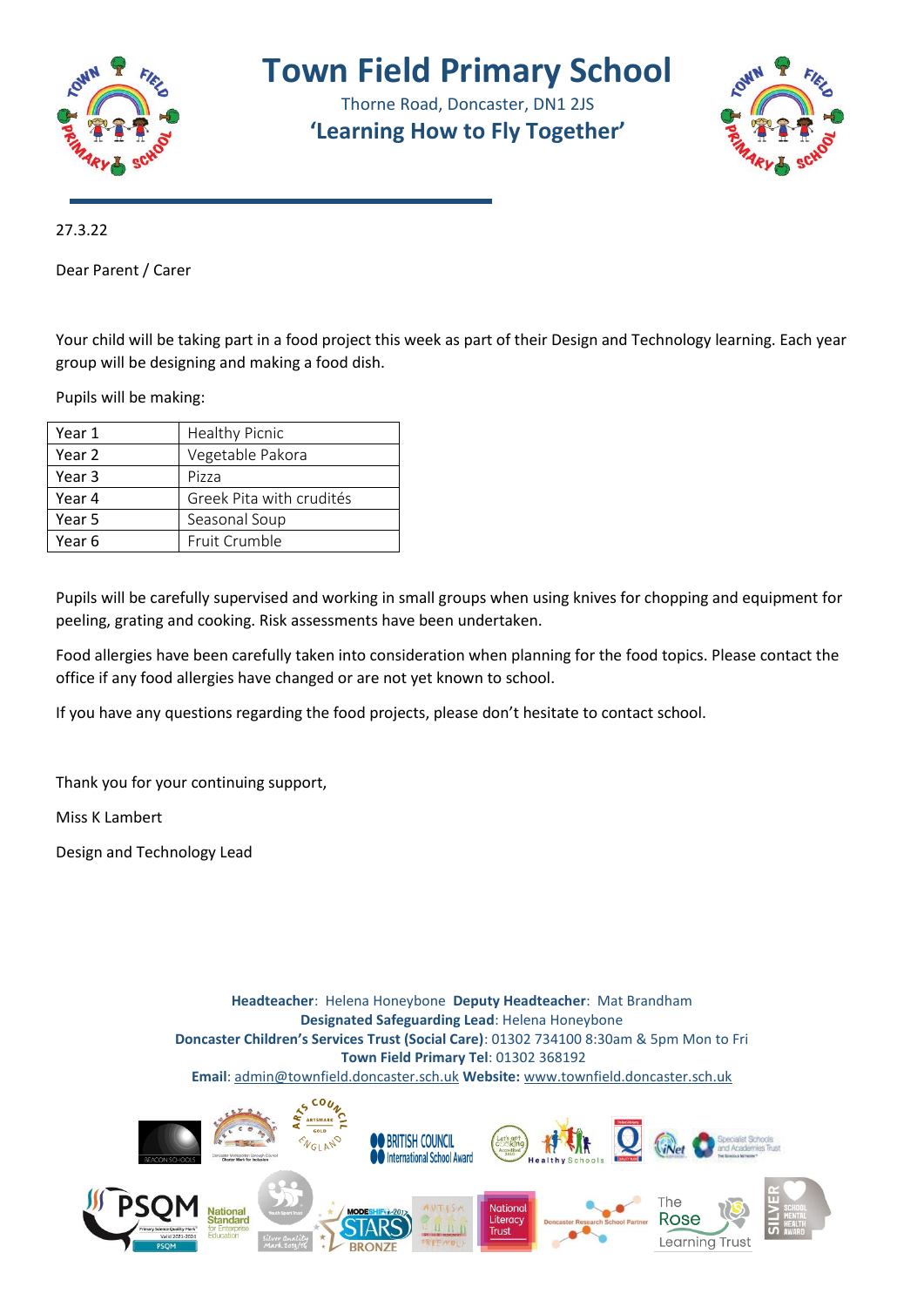

## **Town Field Primary School**

Thorne Road, Doncaster, DN1 2JS **'Learning How to Fly Together'**



27.3.22

Dear Parent / Carer

Your child will be taking part in a food project this week as part of their Design and Technology learning. Each year group will be designing and making a food dish.

Pupils will be making:

| Year 1 | <b>Healthy Picnic</b>    |
|--------|--------------------------|
| Year 2 | Vegetable Pakora         |
| Year 3 | Pizza                    |
| Year 4 | Greek Pita with crudités |
| Year 5 | Seasonal Soup            |
| Year 6 | Fruit Crumble            |

Pupils will be carefully supervised and working in small groups when using knives for chopping and equipment for peeling, grating and cooking. Risk assessments have been undertaken.

Food allergies have been carefully taken into consideration when planning for the food topics. Please contact the office if any food allergies have changed or are not yet known to school.

If you have any questions regarding the food projects, please don't hesitate to contact school.

Thank you for your continuing support,

Miss K Lambert

Design and Technology Lead

**Headteacher**: Helena Honeybone **Deputy Headteacher**: Mat Brandham **Designated Safeguarding Lead**: Helena Honeybone **Doncaster Children's Services Trust (Social Care)**: 01302 734100 8:30am & 5pm Mon to Fri **Town Field Primary Tel**: 01302 368192 **Email**: [admin@townfield.doncaster.sch.uk](mailto:admin@townfield.doncaster.sch.uk) **Website:** [www.townfield.doncaster.sch.uk](http://www.townfield.doncaster.sch.uk/)